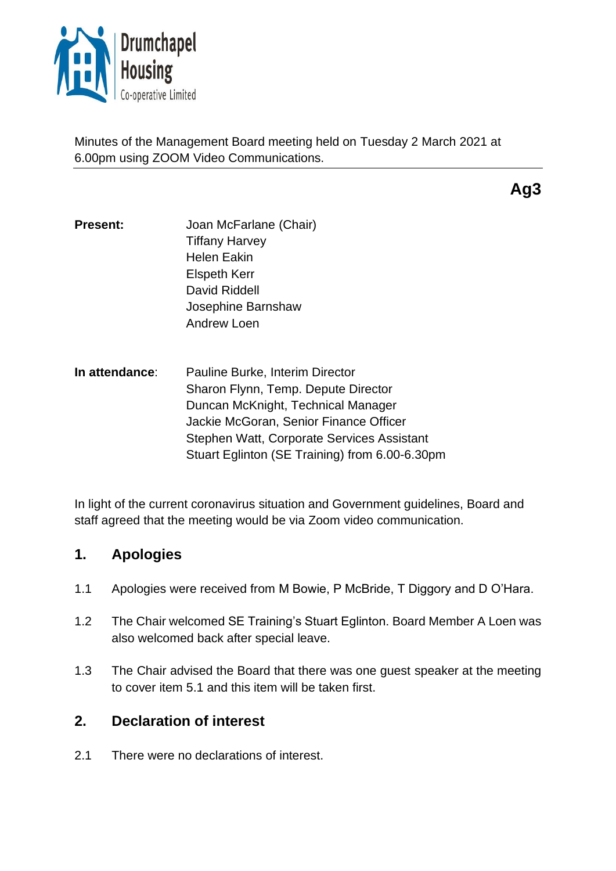

Minutes of the Management Board meeting held on Tuesday 2 March 2021 at 6.00pm using ZOOM Video Communications.

**Ag3**

- **Present:** Joan McFarlane (Chair) Tiffany Harvey Helen Eakin Elspeth Kerr David Riddell Josephine Barnshaw Andrew Loen
- **In attendance**: Pauline Burke, Interim Director Sharon Flynn, Temp. Depute Director Duncan McKnight, Technical Manager Jackie McGoran, Senior Finance Officer Stephen Watt, Corporate Services Assistant Stuart Eglinton (SE Training) from 6.00-6.30pm

In light of the current coronavirus situation and Government guidelines, Board and staff agreed that the meeting would be via Zoom video communication.

## **1. Apologies**

- 1.1 Apologies were received from M Bowie, P McBride, T Diggory and D O'Hara.
- 1.2 The Chair welcomed SE Training's Stuart Eglinton. Board Member A Loen was also welcomed back after special leave.
- 1.3 The Chair advised the Board that there was one guest speaker at the meeting to cover item 5.1 and this item will be taken first.

# **2. Declaration of interest**

2.1 There were no declarations of interest.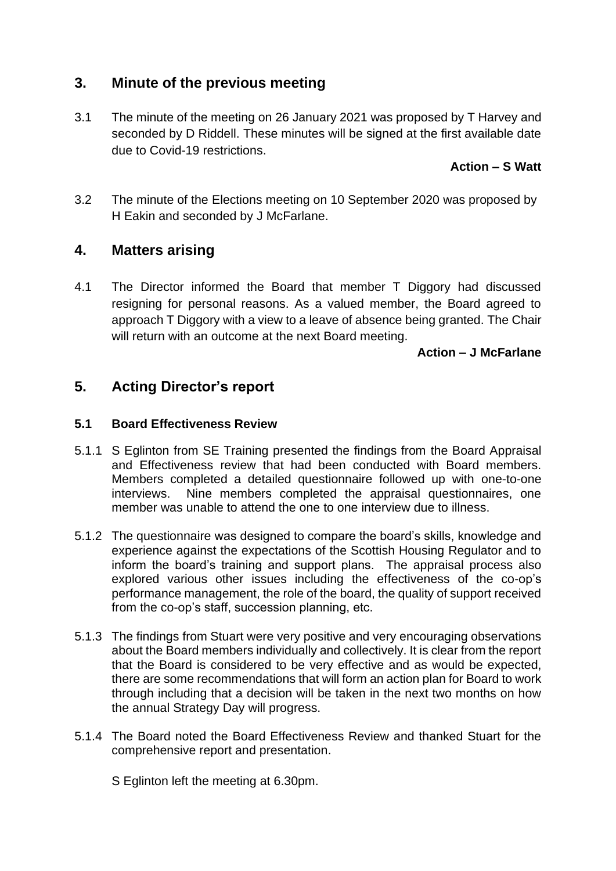## **3. Minute of the previous meeting**

3.1 The minute of the meeting on 26 January 2021 was proposed by T Harvey and seconded by D Riddell. These minutes will be signed at the first available date due to Covid-19 restrictions.

### **Action – S Watt**

3.2 The minute of the Elections meeting on 10 September 2020 was proposed by H Eakin and seconded by J McFarlane.

## **4. Matters arising**

4.1 The Director informed the Board that member T Diggory had discussed resigning for personal reasons. As a valued member, the Board agreed to approach T Diggory with a view to a leave of absence being granted. The Chair will return with an outcome at the next Board meeting.

#### **Action – J McFarlane**

## **5. Acting Director's report**

#### **5.1 Board Effectiveness Review**

- 5.1.1 S Eglinton from SE Training presented the findings from the Board Appraisal and Effectiveness review that had been conducted with Board members. Members completed a detailed questionnaire followed up with one-to-one interviews. Nine members completed the appraisal questionnaires, one member was unable to attend the one to one interview due to illness.
- 5.1.2 The questionnaire was designed to compare the board's skills, knowledge and experience against the expectations of the Scottish Housing Regulator and to inform the board's training and support plans. The appraisal process also explored various other issues including the effectiveness of the co-op's performance management, the role of the board, the quality of support received from the co-op's staff, succession planning, etc.
- 5.1.3 The findings from Stuart were very positive and very encouraging observations about the Board members individually and collectively. It is clear from the report that the Board is considered to be very effective and as would be expected, there are some recommendations that will form an action plan for Board to work through including that a decision will be taken in the next two months on how the annual Strategy Day will progress.
- 5.1.4 The Board noted the Board Effectiveness Review and thanked Stuart for the comprehensive report and presentation.

S Eglinton left the meeting at 6.30pm.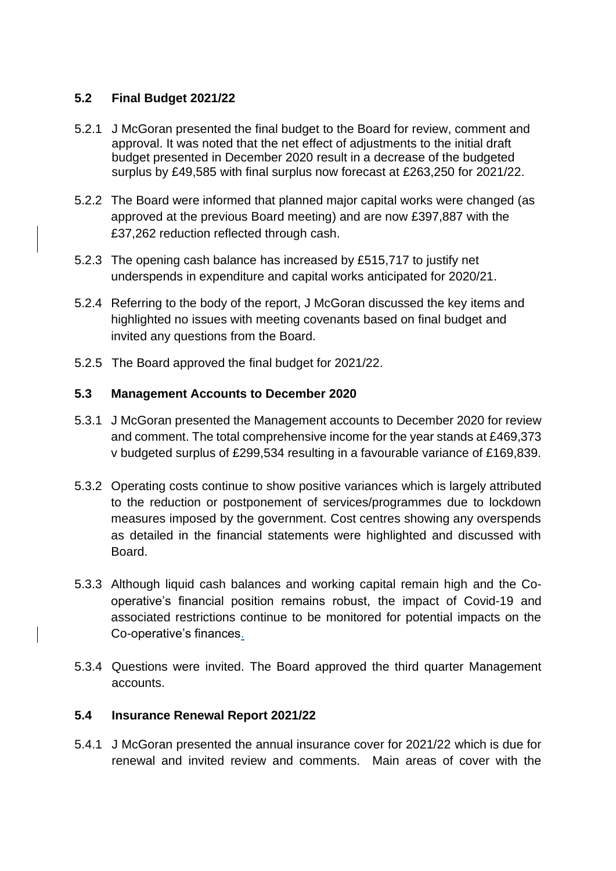### **5.2 Final Budget 2021/22**

- 5.2.1 J McGoran presented the final budget to the Board for review, comment and approval. It was noted that the net effect of adjustments to the initial draft budget presented in December 2020 result in a decrease of the budgeted surplus by £49,585 with final surplus now forecast at £263,250 for 2021/22.
- 5.2.2 The Board were informed that planned major capital works were changed (as approved at the previous Board meeting) and are now £397,887 with the £37,262 reduction reflected through cash.
- 5.2.3 The opening cash balance has increased by £515,717 to justify net underspends in expenditure and capital works anticipated for 2020/21.
- 5.2.4 Referring to the body of the report, J McGoran discussed the key items and highlighted no issues with meeting covenants based on final budget and invited any questions from the Board.
- 5.2.5 The Board approved the final budget for 2021/22.

#### **5.3 Management Accounts to December 2020**

- 5.3.1 J McGoran presented the Management accounts to December 2020 for review and comment. The total comprehensive income for the year stands at £469,373 v budgeted surplus of £299,534 resulting in a favourable variance of £169,839.
- 5.3.2 Operating costs continue to show positive variances which is largely attributed to the reduction or postponement of services/programmes due to lockdown measures imposed by the government. Cost centres showing any overspends as detailed in the financial statements were highlighted and discussed with Board.
- 5.3.3 Although liquid cash balances and working capital remain high and the Cooperative's financial position remains robust, the impact of Covid-19 and associated restrictions continue to be monitored for potential impacts on the Co-operative's finances.
- 5.3.4 Questions were invited. The Board approved the third quarter Management accounts.

### **5.4 Insurance Renewal Report 2021/22**

5.4.1 J McGoran presented the annual insurance cover for 2021/22 which is due for renewal and invited review and comments. Main areas of cover with the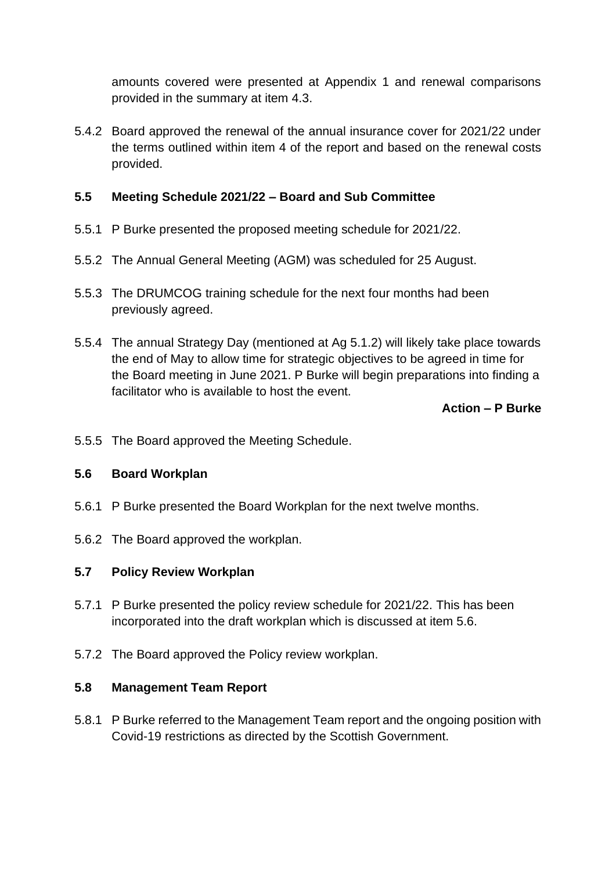amounts covered were presented at Appendix 1 and renewal comparisons provided in the summary at item 4.3.

5.4.2 Board approved the renewal of the annual insurance cover for 2021/22 under the terms outlined within item 4 of the report and based on the renewal costs provided.

### **5.5 Meeting Schedule 2021/22 – Board and Sub Committee**

- 5.5.1 P Burke presented the proposed meeting schedule for 2021/22.
- 5.5.2 The Annual General Meeting (AGM) was scheduled for 25 August.
- 5.5.3 The DRUMCOG training schedule for the next four months had been previously agreed.
- 5.5.4 The annual Strategy Day (mentioned at Ag 5.1.2) will likely take place towards the end of May to allow time for strategic objectives to be agreed in time for the Board meeting in June 2021. P Burke will begin preparations into finding a facilitator who is available to host the event.

### **Action – P Burke**

5.5.5 The Board approved the Meeting Schedule.

### **5.6 Board Workplan**

- 5.6.1 P Burke presented the Board Workplan for the next twelve months.
- 5.6.2 The Board approved the workplan.

#### **5.7 Policy Review Workplan**

- 5.7.1 P Burke presented the policy review schedule for 2021/22. This has been incorporated into the draft workplan which is discussed at item 5.6.
- 5.7.2 The Board approved the Policy review workplan.

#### **5.8 Management Team Report**

5.8.1 P Burke referred to the Management Team report and the ongoing position with Covid-19 restrictions as directed by the Scottish Government.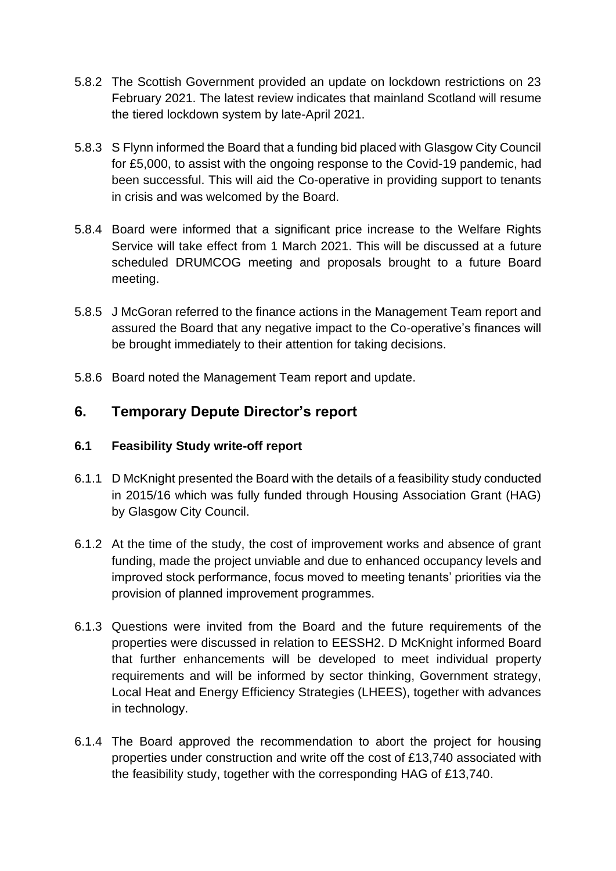- 5.8.2 The Scottish Government provided an update on lockdown restrictions on 23 February 2021. The latest review indicates that mainland Scotland will resume the tiered lockdown system by late-April 2021.
- 5.8.3 S Flynn informed the Board that a funding bid placed with Glasgow City Council for £5,000, to assist with the ongoing response to the Covid-19 pandemic, had been successful. This will aid the Co-operative in providing support to tenants in crisis and was welcomed by the Board.
- 5.8.4 Board were informed that a significant price increase to the Welfare Rights Service will take effect from 1 March 2021. This will be discussed at a future scheduled DRUMCOG meeting and proposals brought to a future Board meeting.
- 5.8.5 J McGoran referred to the finance actions in the Management Team report and assured the Board that any negative impact to the Co-operative's finances will be brought immediately to their attention for taking decisions.
- 5.8.6 Board noted the Management Team report and update.

## **6. Temporary Depute Director's report**

### **6.1 Feasibility Study write-off report**

- 6.1.1 D McKnight presented the Board with the details of a feasibility study conducted in 2015/16 which was fully funded through Housing Association Grant (HAG) by Glasgow City Council.
- 6.1.2 At the time of the study, the cost of improvement works and absence of grant funding, made the project unviable and due to enhanced occupancy levels and improved stock performance, focus moved to meeting tenants' priorities via the provision of planned improvement programmes.
- 6.1.3 Questions were invited from the Board and the future requirements of the properties were discussed in relation to EESSH2. D McKnight informed Board that further enhancements will be developed to meet individual property requirements and will be informed by sector thinking, Government strategy, Local Heat and Energy Efficiency Strategies (LHEES), together with advances in technology.
- 6.1.4 The Board approved the recommendation to abort the project for housing properties under construction and write off the cost of £13,740 associated with the feasibility study, together with the corresponding HAG of £13,740.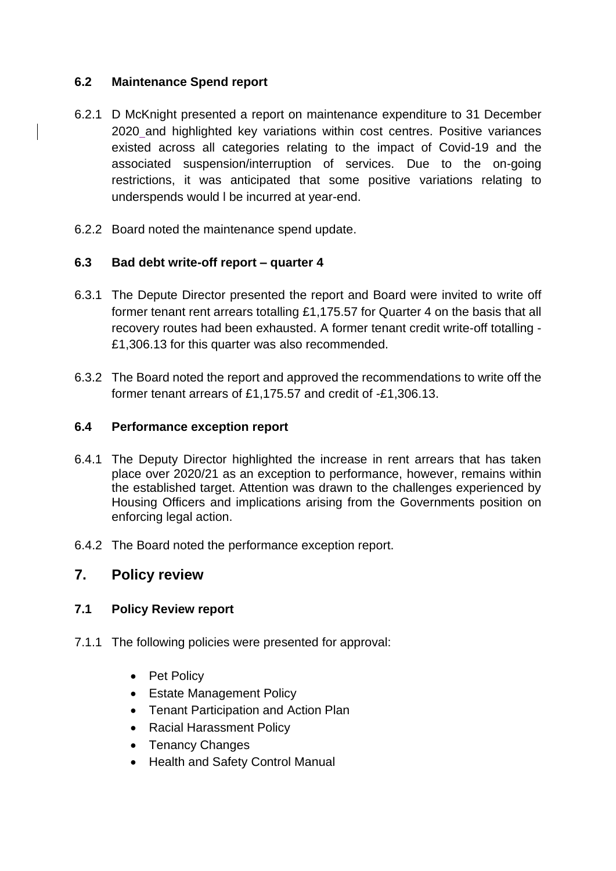#### **6.2 Maintenance Spend report**

- 6.2.1 D McKnight presented a report on maintenance expenditure to 31 December 2020 and highlighted key variations within cost centres. Positive variances existed across all categories relating to the impact of Covid-19 and the associated suspension/interruption of services. Due to the on-going restrictions, it was anticipated that some positive variations relating to underspends would l be incurred at year-end.
- 6.2.2 Board noted the maintenance spend update.

#### **6.3 Bad debt write-off report – quarter 4**

- 6.3.1 The Depute Director presented the report and Board were invited to write off former tenant rent arrears totalling £1,175.57 for Quarter 4 on the basis that all recovery routes had been exhausted. A former tenant credit write-off totalling - £1,306.13 for this quarter was also recommended.
- 6.3.2 The Board noted the report and approved the recommendations to write off the former tenant arrears of £1,175.57 and credit of -£1,306.13.

#### **6.4 Performance exception report**

- 6.4.1 The Deputy Director highlighted the increase in rent arrears that has taken place over 2020/21 as an exception to performance, however, remains within the established target. Attention was drawn to the challenges experienced by Housing Officers and implications arising from the Governments position on enforcing legal action.
- 6.4.2 The Board noted the performance exception report.

### **7. Policy review**

### **7.1 Policy Review report**

- 7.1.1 The following policies were presented for approval:
	- Pet Policy
	- Estate Management Policy
	- Tenant Participation and Action Plan
	- Racial Harassment Policy
	- Tenancy Changes
	- Health and Safety Control Manual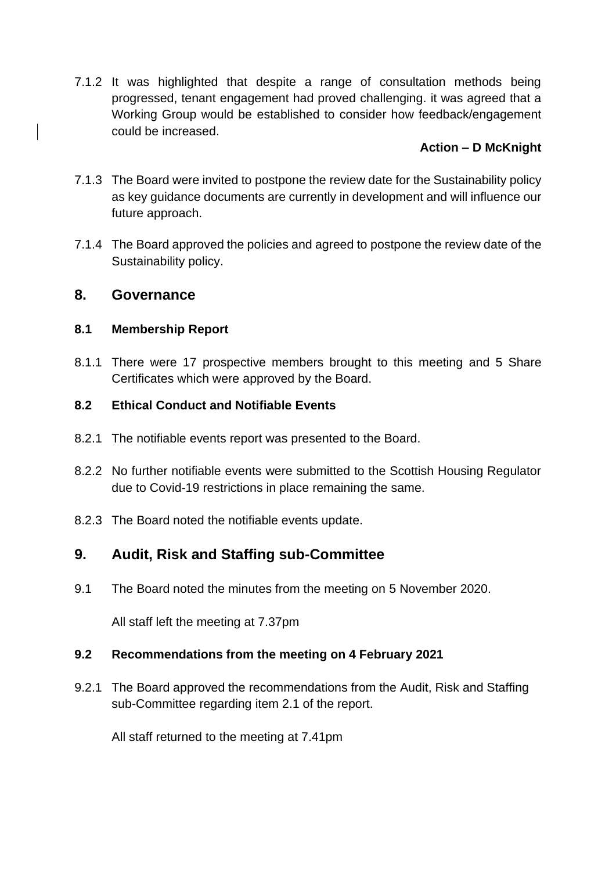7.1.2 It was highlighted that despite a range of consultation methods being progressed, tenant engagement had proved challenging. it was agreed that a Working Group would be established to consider how feedback/engagement could be increased.

### **Action – D McKnight**

- 7.1.3 The Board were invited to postpone the review date for the Sustainability policy as key guidance documents are currently in development and will influence our future approach.
- 7.1.4 The Board approved the policies and agreed to postpone the review date of the Sustainability policy.

### **8. Governance**

### **8.1 Membership Report**

8.1.1 There were 17 prospective members brought to this meeting and 5 Share Certificates which were approved by the Board.

### **8.2 Ethical Conduct and Notifiable Events**

- 8.2.1 The notifiable events report was presented to the Board.
- 8.2.2 No further notifiable events were submitted to the Scottish Housing Regulator due to Covid-19 restrictions in place remaining the same.
- 8.2.3 The Board noted the notifiable events update.

# **9. Audit, Risk and Staffing sub-Committee**

9.1 The Board noted the minutes from the meeting on 5 November 2020.

All staff left the meeting at 7.37pm

### **9.2 Recommendations from the meeting on 4 February 2021**

9.2.1 The Board approved the recommendations from the Audit, Risk and Staffing sub-Committee regarding item 2.1 of the report.

All staff returned to the meeting at 7.41pm